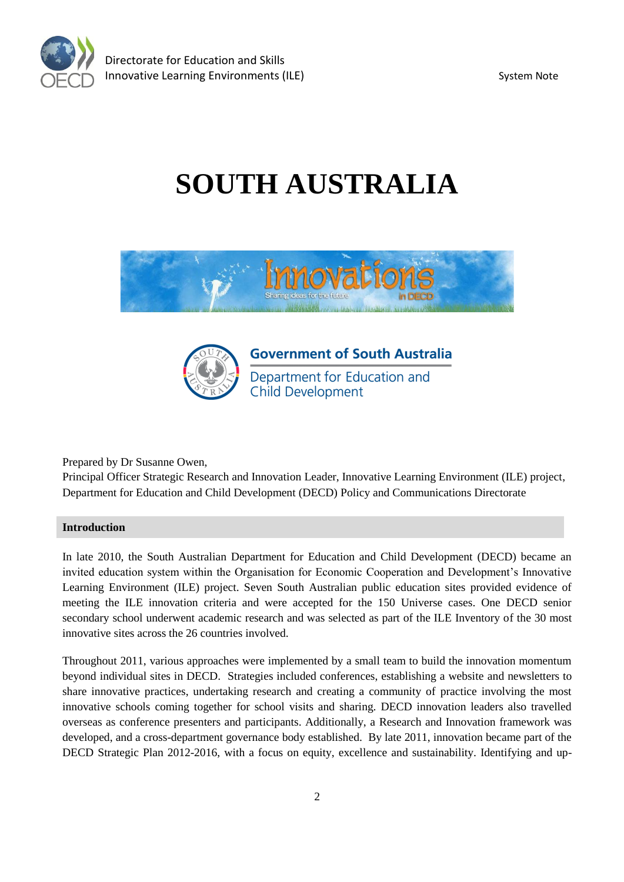

# **SOUTH AUSTRALIA**





**Government of South Australia** Department for Education and **Child Development** 

Prepared by Dr Susanne Owen,

Principal Officer Strategic Research and Innovation Leader, Innovative Learning Environment (ILE) project, Department for Education and Child Development (DECD) Policy and Communications Directorate

# **Introduction**

In late 2010, the South Australian Department for Education and Child Development (DECD) became an invited education system within the Organisation for Economic Cooperation and Development's Innovative Learning Environment (ILE) project. Seven South Australian public education sites provided evidence of meeting the ILE innovation criteria and were accepted for the 150 Universe cases. One DECD senior secondary school underwent academic research and was selected as part of the ILE Inventory of the 30 most innovative sites across the 26 countries involved.

Throughout 2011, various approaches were implemented by a small team to build the innovation momentum beyond individual sites in DECD. Strategies included conferences, establishing a website and newsletters to share innovative practices, undertaking research and creating a community of practice involving the most innovative schools coming together for school visits and sharing. DECD innovation leaders also travelled overseas as conference presenters and participants. Additionally, a Research and Innovation framework was developed, and a cross-department governance body established. By late 2011, innovation became part of the DECD Strategic Plan 2012-2016, with a focus on equity, excellence and sustainability. Identifying and up-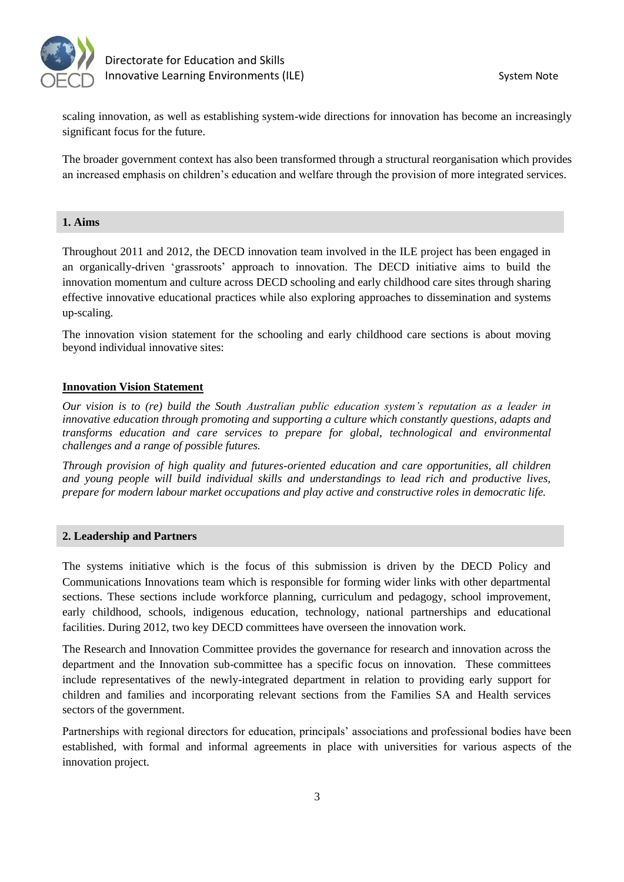

scaling innovation, as well as establishing system-wide directions for innovation has become an increasingly significant focus for the future.

The broader government context has also been transformed through a structural reorganisation which provides an increased emphasis on children's education and welfare through the provision of more integrated services.

# **1. Aims**

Throughout 2011 and 2012, the DECD innovation team involved in the ILE project has been engaged in an organically-driven 'grassroots' approach to innovation. The DECD initiative aims to build the innovation momentum and culture across DECD schooling and early childhood care sites through sharing effective innovative educational practices while also exploring approaches to dissemination and systems up-scaling.

The innovation vision statement for the schooling and early childhood care sections is about moving beyond individual innovative sites:

# **Innovation Vision Statement**

*Our vision is to (re) build the South Australian public education system's reputation as a leader in innovative education through promoting and supporting a culture which constantly questions, adapts and transforms education and care services to prepare for global, technological and environmental challenges and a range of possible futures.*

*Through provision of high quality and futures-oriented education and care opportunities, all children and young people will build individual skills and understandings to lead rich and productive lives, prepare for modern labour market occupations and play active and constructive roles in democratic life.*

#### **2. Leadership and Partners**

The systems initiative which is the focus of this submission is driven by the DECD Policy and Communications Innovations team which is responsible for forming wider links with other departmental sections. These sections include workforce planning, curriculum and pedagogy, school improvement, early childhood, schools, indigenous education, technology, national partnerships and educational facilities. During 2012, two key DECD committees have overseen the innovation work.

The Research and Innovation Committee provides the governance for research and innovation across the department and the Innovation sub-committee has a specific focus on innovation. These committees include representatives of the newly-integrated department in relation to providing early support for children and families and incorporating relevant sections from the Families SA and Health services sectors of the government.

Partnerships with regional directors for education, principals' associations and professional bodies have been established, with formal and informal agreements in place with universities for various aspects of the innovation project.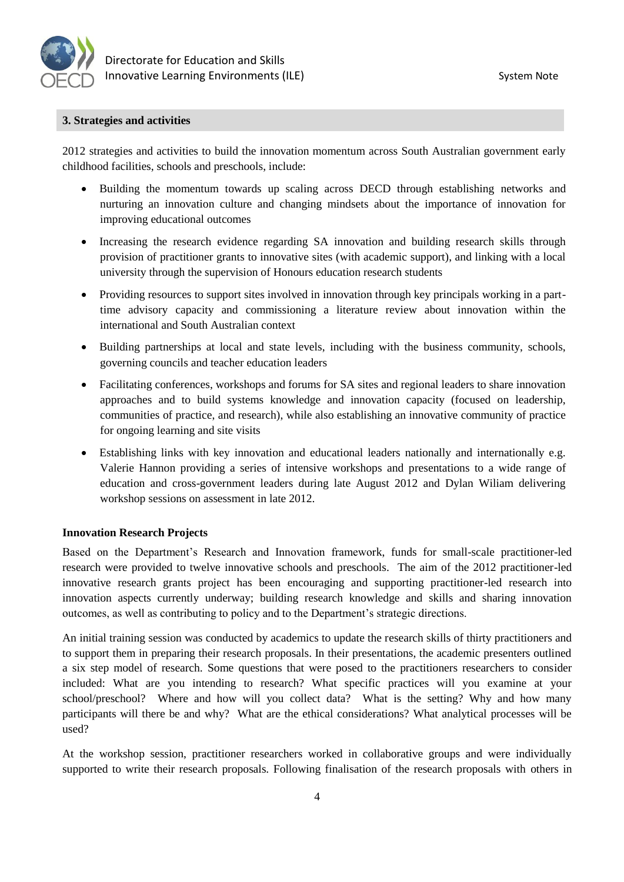

#### **3. Strategies and activities**

2012 strategies and activities to build the innovation momentum across South Australian government early childhood facilities, schools and preschools, include:

- Building the momentum towards up scaling across DECD through establishing networks and nurturing an innovation culture and changing mindsets about the importance of innovation for improving educational outcomes
- Increasing the research evidence regarding SA innovation and building research skills through provision of practitioner grants to innovative sites (with academic support), and linking with a local university through the supervision of Honours education research students
- Providing resources to support sites involved in innovation through key principals working in a parttime advisory capacity and commissioning a literature review about innovation within the international and South Australian context
- Building partnerships at local and state levels, including with the business community, schools, governing councils and teacher education leaders
- Facilitating conferences, workshops and forums for SA sites and regional leaders to share innovation approaches and to build systems knowledge and innovation capacity (focused on leadership, communities of practice, and research), while also establishing an innovative community of practice for ongoing learning and site visits
- Establishing links with key innovation and educational leaders nationally and internationally e.g. Valerie Hannon providing a series of intensive workshops and presentations to a wide range of education and cross-government leaders during late August 2012 and Dylan Wiliam delivering workshop sessions on assessment in late 2012.

#### **Innovation Research Projects**

Based on the Department's Research and Innovation framework, funds for small-scale practitioner-led research were provided to twelve innovative schools and preschools. The aim of the 2012 practitioner-led innovative research grants project has been encouraging and supporting practitioner-led research into innovation aspects currently underway; building research knowledge and skills and sharing innovation outcomes, as well as contributing to policy and to the Department's strategic directions.

An initial training session was conducted by academics to update the research skills of thirty practitioners and to support them in preparing their research proposals. In their presentations, the academic presenters outlined a six step model of research. Some questions that were posed to the practitioners researchers to consider included: What are you intending to research? What specific practices will you examine at your school/preschool? Where and how will you collect data? What is the setting? Why and how many participants will there be and why? What are the ethical considerations? What analytical processes will be used?

At the workshop session, practitioner researchers worked in collaborative groups and were individually supported to write their research proposals. Following finalisation of the research proposals with others in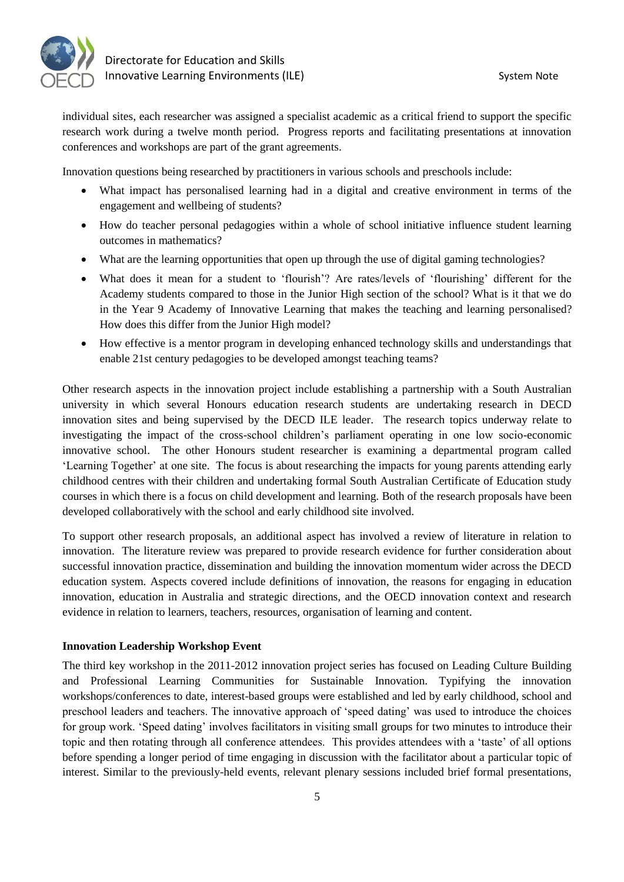

individual sites, each researcher was assigned a specialist academic as a critical friend to support the specific research work during a twelve month period. Progress reports and facilitating presentations at innovation conferences and workshops are part of the grant agreements.

Innovation questions being researched by practitioners in various schools and preschools include:

- What impact has personalised learning had in a digital and creative environment in terms of the engagement and wellbeing of students?
- How do teacher personal pedagogies within a whole of school initiative influence student learning outcomes in mathematics?
- What are the learning opportunities that open up through the use of digital gaming technologies?
- What does it mean for a student to 'flourish'? Are rates/levels of 'flourishing' different for the Academy students compared to those in the Junior High section of the school? What is it that we do in the Year 9 Academy of Innovative Learning that makes the teaching and learning personalised? How does this differ from the Junior High model?
- How effective is a mentor program in developing enhanced technology skills and understandings that enable 21st century pedagogies to be developed amongst teaching teams?

Other research aspects in the innovation project include establishing a partnership with a South Australian university in which several Honours education research students are undertaking research in DECD innovation sites and being supervised by the DECD ILE leader. The research topics underway relate to investigating the impact of the cross-school children's parliament operating in one low socio-economic innovative school. The other Honours student researcher is examining a departmental program called 'Learning Together' at one site. The focus is about researching the impacts for young parents attending early childhood centres with their children and undertaking formal South Australian Certificate of Education study courses in which there is a focus on child development and learning. Both of the research proposals have been developed collaboratively with the school and early childhood site involved.

To support other research proposals, an additional aspect has involved a review of literature in relation to innovation. The literature review was prepared to provide research evidence for further consideration about successful innovation practice, dissemination and building the innovation momentum wider across the DECD education system. Aspects covered include definitions of innovation, the reasons for engaging in education innovation, education in Australia and strategic directions, and the OECD innovation context and research evidence in relation to learners, teachers, resources, organisation of learning and content.

#### **Innovation Leadership Workshop Event**

The third key workshop in the 2011-2012 innovation project series has focused on Leading Culture Building and Professional Learning Communities for Sustainable Innovation. Typifying the innovation workshops/conferences to date, interest-based groups were established and led by early childhood, school and preschool leaders and teachers. The innovative approach of 'speed dating' was used to introduce the choices for group work. 'Speed dating' involves facilitators in visiting small groups for two minutes to introduce their topic and then rotating through all conference attendees. This provides attendees with a 'taste' of all options before spending a longer period of time engaging in discussion with the facilitator about a particular topic of interest. Similar to the previously-held events, relevant plenary sessions included brief formal presentations,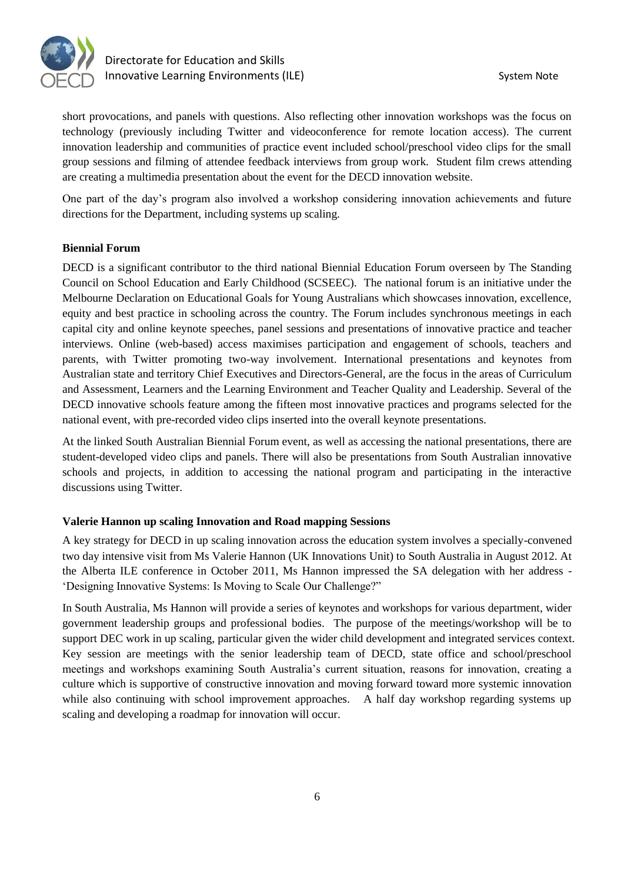

# Directorate for Education and Skills Innovative Learning Environments (ILE) System Note

short provocations, and panels with questions. Also reflecting other innovation workshops was the focus on technology (previously including Twitter and videoconference for remote location access). The current innovation leadership and communities of practice event included school/preschool video clips for the small group sessions and filming of attendee feedback interviews from group work. Student film crews attending are creating a multimedia presentation about the event for the DECD innovation website.

One part of the day's program also involved a workshop considering innovation achievements and future directions for the Department, including systems up scaling.

# **Biennial Forum**

DECD is a significant contributor to the third national Biennial Education Forum overseen by The Standing Council on School Education and Early Childhood (SCSEEC). The national forum is an initiative under the Melbourne Declaration on Educational Goals for Young Australians which showcases innovation, excellence, equity and best practice in schooling across the country. The Forum includes synchronous meetings in each capital city and online keynote speeches, panel sessions and presentations of innovative practice and teacher interviews. Online (web-based) access maximises participation and engagement of schools, teachers and parents, with Twitter promoting two-way involvement. International presentations and keynotes from Australian state and territory Chief Executives and Directors-General, are the focus in the areas of Curriculum and Assessment, Learners and the Learning Environment and Teacher Quality and Leadership. Several of the DECD innovative schools feature among the fifteen most innovative practices and programs selected for the national event, with pre-recorded video clips inserted into the overall keynote presentations.

At the linked South Australian Biennial Forum event, as well as accessing the national presentations, there are student-developed video clips and panels. There will also be presentations from South Australian innovative schools and projects, in addition to accessing the national program and participating in the interactive discussions using Twitter.

#### **Valerie Hannon up scaling Innovation and Road mapping Sessions**

A key strategy for DECD in up scaling innovation across the education system involves a specially-convened two day intensive visit from Ms Valerie Hannon (UK Innovations Unit) to South Australia in August 2012. At the Alberta ILE conference in October 2011, Ms Hannon impressed the SA delegation with her address - 'Designing Innovative Systems: Is Moving to Scale Our Challenge?"

In South Australia, Ms Hannon will provide a series of keynotes and workshops for various department, wider government leadership groups and professional bodies. The purpose of the meetings/workshop will be to support DEC work in up scaling, particular given the wider child development and integrated services context. Key session are meetings with the senior leadership team of DECD, state office and school/preschool meetings and workshops examining South Australia's current situation, reasons for innovation, creating a culture which is supportive of constructive innovation and moving forward toward more systemic innovation while also continuing with school improvement approaches. A half day workshop regarding systems up scaling and developing a roadmap for innovation will occur.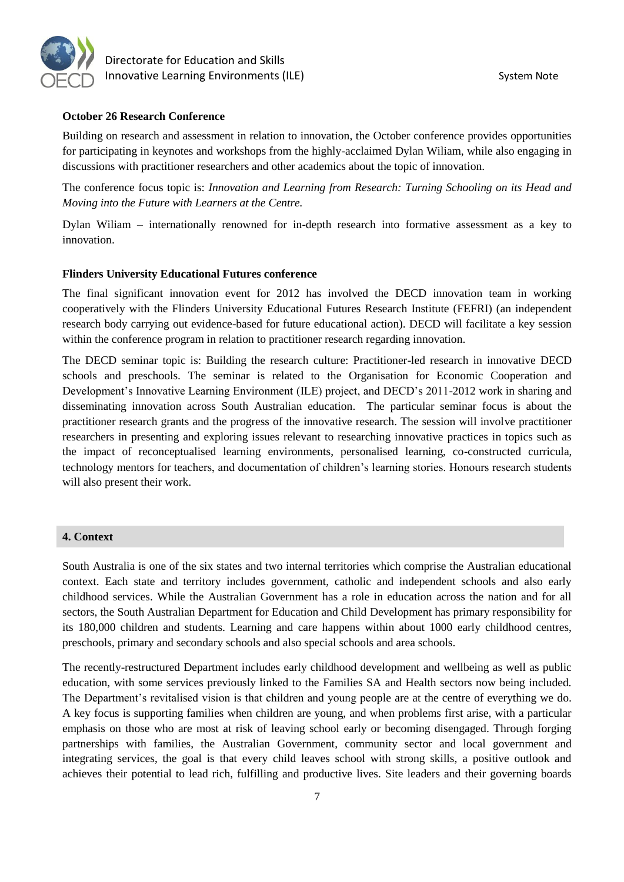

 Directorate for Education and Skills Innovative Learning Environments (ILE) System Note

#### **October 26 Research Conference**

Building on research and assessment in relation to innovation, the October conference provides opportunities for participating in keynotes and workshops from the highly-acclaimed Dylan Wiliam, while also engaging in discussions with practitioner researchers and other academics about the topic of innovation.

The conference focus topic is: *Innovation and Learning from Research: Turning Schooling on its Head and Moving into the Future with Learners at the Centre.* 

Dylan Wiliam – internationally renowned for in-depth research into formative assessment as a key to innovation.

#### **Flinders University Educational Futures conference**

The final significant innovation event for 2012 has involved the DECD innovation team in working cooperatively with the Flinders University Educational Futures Research Institute (FEFRI) (an independent research body carrying out evidence-based for future educational action). DECD will facilitate a key session within the conference program in relation to practitioner research regarding innovation.

The DECD seminar topic is: Building the research culture: Practitioner-led research in innovative DECD schools and preschools. The seminar is related to the Organisation for Economic Cooperation and Development's Innovative Learning Environment (ILE) project, and DECD's 2011-2012 work in sharing and disseminating innovation across South Australian education. The particular seminar focus is about the practitioner research grants and the progress of the innovative research. The session will involve practitioner researchers in presenting and exploring issues relevant to researching innovative practices in topics such as the impact of reconceptualised learning environments, personalised learning, co-constructed curricula, technology mentors for teachers, and documentation of children's learning stories. Honours research students will also present their work.

#### **4. Context**

South Australia is one of the six states and two internal territories which comprise the Australian educational context. Each state and territory includes government, catholic and independent schools and also early childhood services. While the Australian Government has a role in education across the nation and for all sectors, the South Australian Department for Education and Child Development has primary responsibility for its 180,000 children and students. Learning and care happens within about 1000 early childhood centres, preschools, primary and secondary schools and also special schools and area schools.

The recently-restructured Department includes early childhood development and wellbeing as well as public education, with some services previously linked to the Families SA and Health sectors now being included. The Department's revitalised vision is that children and young people are at the centre of everything we do. A key focus is supporting families when children are young, and when problems first arise, with a particular emphasis on those who are most at risk of leaving school early or becoming disengaged. Through forging partnerships with families, the Australian Government, community sector and local government and integrating services, the goal is that every child leaves school with strong skills, a positive outlook and achieves their potential to lead rich, fulfilling and productive lives. Site leaders and their governing boards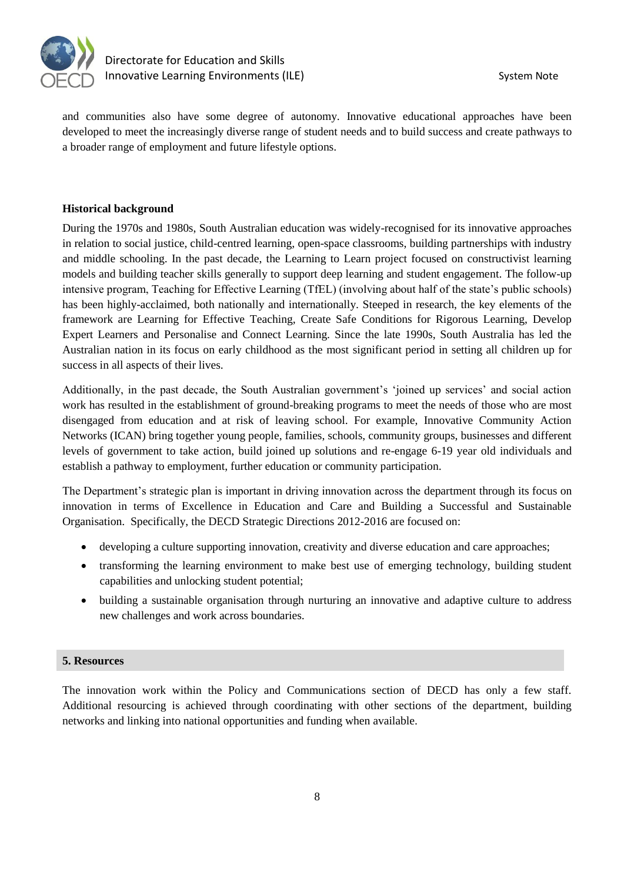

and communities also have some degree of autonomy. Innovative educational approaches have been developed to meet the increasingly diverse range of student needs and to build success and create pathways to a broader range of employment and future lifestyle options.

#### **Historical background**

During the 1970s and 1980s, South Australian education was widely-recognised for its innovative approaches in relation to social justice, child-centred learning, open-space classrooms, building partnerships with industry and middle schooling. In the past decade, the Learning to Learn project focused on constructivist learning models and building teacher skills generally to support deep learning and student engagement. The follow-up intensive program, Teaching for Effective Learning (TfEL) (involving about half of the state's public schools) has been highly-acclaimed, both nationally and internationally. Steeped in research, the key elements of the framework are Learning for Effective Teaching, Create Safe Conditions for Rigorous Learning, Develop Expert Learners and Personalise and Connect Learning. Since the late 1990s, South Australia has led the Australian nation in its focus on early childhood as the most significant period in setting all children up for success in all aspects of their lives.

Additionally, in the past decade, the South Australian government's 'joined up services' and social action work has resulted in the establishment of ground-breaking programs to meet the needs of those who are most disengaged from education and at risk of leaving school. For example, Innovative Community Action Networks (ICAN) bring together young people, families, schools, community groups, businesses and different levels of government to take action, build joined up solutions and re-engage 6-19 year old individuals and establish a pathway to employment, further education or community participation.

The Department's strategic plan is important in driving innovation across the department through its focus on innovation in terms of Excellence in Education and Care and Building a Successful and Sustainable Organisation. Specifically, the DECD Strategic Directions 2012-2016 are focused on:

- developing a culture supporting innovation, creativity and diverse education and care approaches;
- transforming the learning environment to make best use of emerging technology, building student capabilities and unlocking student potential;
- building a sustainable organisation through nurturing an innovative and adaptive culture to address new challenges and work across boundaries.

#### **5. Resources**

The innovation work within the Policy and Communications section of DECD has only a few staff. Additional resourcing is achieved through coordinating with other sections of the department, building networks and linking into national opportunities and funding when available.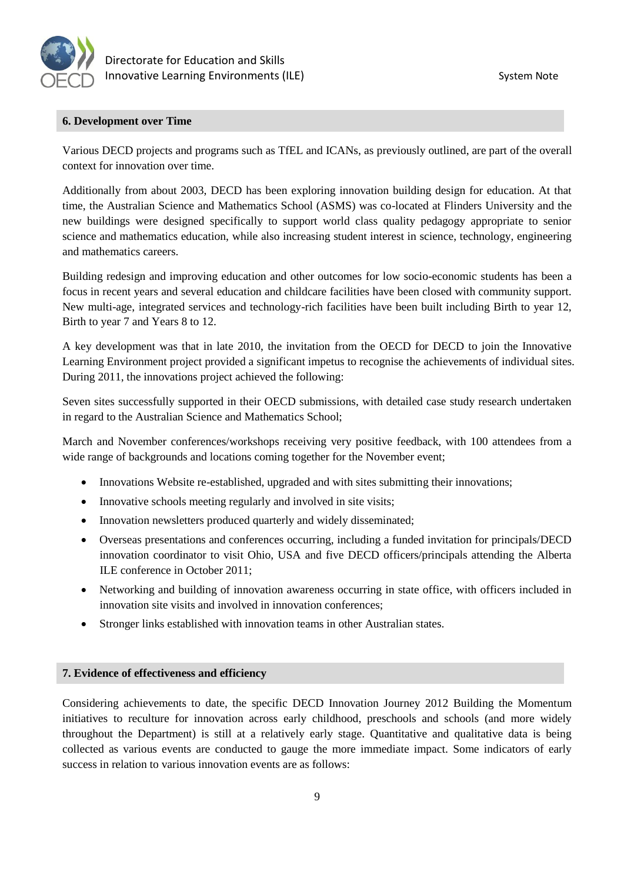

# **6. Development over Time**

Various DECD projects and programs such as TfEL and ICANs, as previously outlined, are part of the overall context for innovation over time.

Additionally from about 2003, DECD has been exploring innovation building design for education. At that time, the Australian Science and Mathematics School (ASMS) was co-located at Flinders University and the new buildings were designed specifically to support world class quality pedagogy appropriate to senior science and mathematics education, while also increasing student interest in science, technology, engineering and mathematics careers.

Building redesign and improving education and other outcomes for low socio-economic students has been a focus in recent years and several education and childcare facilities have been closed with community support. New multi-age, integrated services and technology-rich facilities have been built including Birth to year 12, Birth to year 7 and Years 8 to 12.

A key development was that in late 2010, the invitation from the OECD for DECD to join the Innovative Learning Environment project provided a significant impetus to recognise the achievements of individual sites. During 2011, the innovations project achieved the following:

Seven sites successfully supported in their OECD submissions, with detailed case study research undertaken in regard to the Australian Science and Mathematics School;

March and November conferences/workshops receiving very positive feedback, with 100 attendees from a wide range of backgrounds and locations coming together for the November event;

- Innovations Website re-established, upgraded and with sites submitting their innovations;
- Innovative schools meeting regularly and involved in site visits;
- Innovation newsletters produced quarterly and widely disseminated;
- Overseas presentations and conferences occurring, including a funded invitation for principals/DECD innovation coordinator to visit Ohio, USA and five DECD officers/principals attending the Alberta ILE conference in October 2011;
- Networking and building of innovation awareness occurring in state office, with officers included in innovation site visits and involved in innovation conferences;
- Stronger links established with innovation teams in other Australian states.

# **7. Evidence of effectiveness and efficiency**

Considering achievements to date, the specific DECD Innovation Journey 2012 Building the Momentum initiatives to reculture for innovation across early childhood, preschools and schools (and more widely throughout the Department) is still at a relatively early stage. Quantitative and qualitative data is being collected as various events are conducted to gauge the more immediate impact. Some indicators of early success in relation to various innovation events are as follows: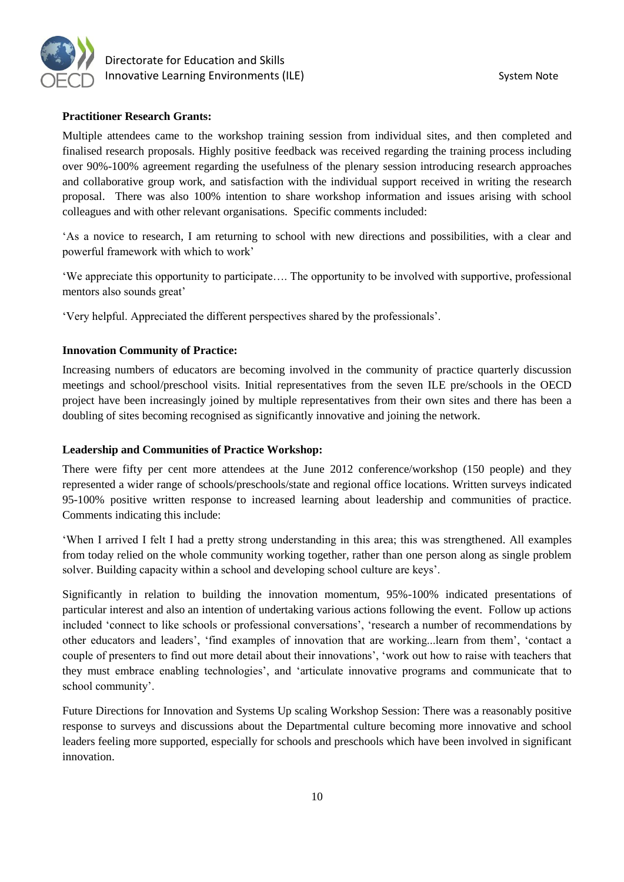

# **Practitioner Research Grants:**

Multiple attendees came to the workshop training session from individual sites, and then completed and finalised research proposals. Highly positive feedback was received regarding the training process including over 90%-100% agreement regarding the usefulness of the plenary session introducing research approaches and collaborative group work, and satisfaction with the individual support received in writing the research proposal. There was also 100% intention to share workshop information and issues arising with school colleagues and with other relevant organisations. Specific comments included:

'As a novice to research, I am returning to school with new directions and possibilities, with a clear and powerful framework with which to work'

'We appreciate this opportunity to participate…. The opportunity to be involved with supportive, professional mentors also sounds great'

'Very helpful. Appreciated the different perspectives shared by the professionals'.

#### **Innovation Community of Practice:**

Increasing numbers of educators are becoming involved in the community of practice quarterly discussion meetings and school/preschool visits. Initial representatives from the seven ILE pre/schools in the OECD project have been increasingly joined by multiple representatives from their own sites and there has been a doubling of sites becoming recognised as significantly innovative and joining the network.

#### **Leadership and Communities of Practice Workshop:**

There were fifty per cent more attendees at the June 2012 conference/workshop (150 people) and they represented a wider range of schools/preschools/state and regional office locations. Written surveys indicated 95-100% positive written response to increased learning about leadership and communities of practice. Comments indicating this include:

'When I arrived I felt I had a pretty strong understanding in this area; this was strengthened. All examples from today relied on the whole community working together, rather than one person along as single problem solver. Building capacity within a school and developing school culture are keys'.

Significantly in relation to building the innovation momentum, 95%-100% indicated presentations of particular interest and also an intention of undertaking various actions following the event. Follow up actions included 'connect to like schools or professional conversations', 'research a number of recommendations by other educators and leaders', 'find examples of innovation that are working...learn from them', 'contact a couple of presenters to find out more detail about their innovations', 'work out how to raise with teachers that they must embrace enabling technologies', and 'articulate innovative programs and communicate that to school community'.

Future Directions for Innovation and Systems Up scaling Workshop Session: There was a reasonably positive response to surveys and discussions about the Departmental culture becoming more innovative and school leaders feeling more supported, especially for schools and preschools which have been involved in significant innovation.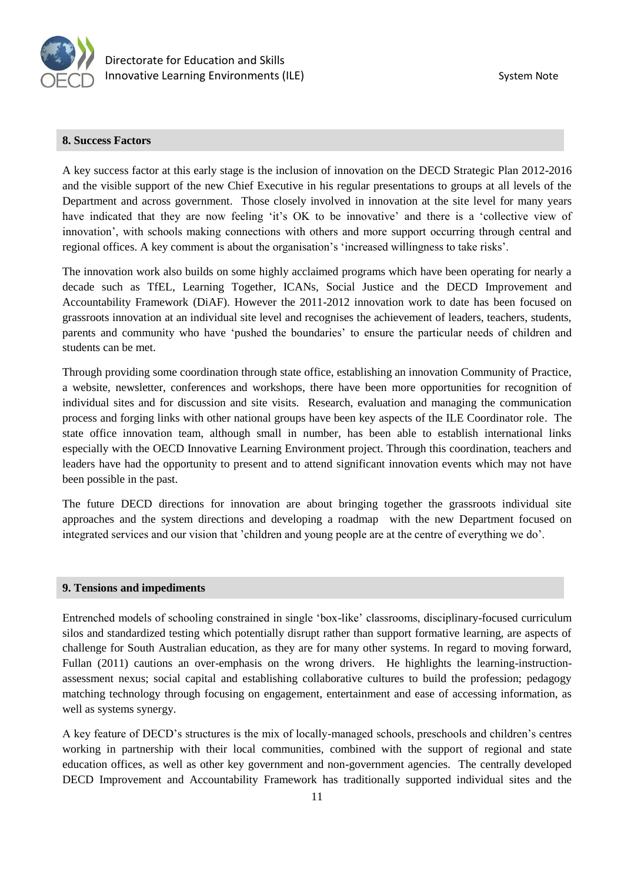

#### **8. Success Factors**

A key success factor at this early stage is the inclusion of innovation on the DECD Strategic Plan 2012-2016 and the visible support of the new Chief Executive in his regular presentations to groups at all levels of the Department and across government. Those closely involved in innovation at the site level for many years have indicated that they are now feeling 'it's OK to be innovative' and there is a 'collective view of innovation', with schools making connections with others and more support occurring through central and regional offices. A key comment is about the organisation's 'increased willingness to take risks'.

The innovation work also builds on some highly acclaimed programs which have been operating for nearly a decade such as TfEL, Learning Together, ICANs, Social Justice and the DECD Improvement and Accountability Framework (DiAF). However the 2011-2012 innovation work to date has been focused on grassroots innovation at an individual site level and recognises the achievement of leaders, teachers, students, parents and community who have 'pushed the boundaries' to ensure the particular needs of children and students can be met.

Through providing some coordination through state office, establishing an innovation Community of Practice, a website, newsletter, conferences and workshops, there have been more opportunities for recognition of individual sites and for discussion and site visits. Research, evaluation and managing the communication process and forging links with other national groups have been key aspects of the ILE Coordinator role. The state office innovation team, although small in number, has been able to establish international links especially with the OECD Innovative Learning Environment project. Through this coordination, teachers and leaders have had the opportunity to present and to attend significant innovation events which may not have been possible in the past.

The future DECD directions for innovation are about bringing together the grassroots individual site approaches and the system directions and developing a roadmap with the new Department focused on integrated services and our vision that 'children and young people are at the centre of everything we do'.

#### **9. Tensions and impediments**

Entrenched models of schooling constrained in single 'box-like' classrooms, disciplinary-focused curriculum silos and standardized testing which potentially disrupt rather than support formative learning, are aspects of challenge for South Australian education, as they are for many other systems. In regard to moving forward, Fullan (2011) cautions an over-emphasis on the wrong drivers. He highlights the learning-instructionassessment nexus; social capital and establishing collaborative cultures to build the profession; pedagogy matching technology through focusing on engagement, entertainment and ease of accessing information, as well as systems synergy.

A key feature of DECD's structures is the mix of locally-managed schools, preschools and children's centres working in partnership with their local communities, combined with the support of regional and state education offices, as well as other key government and non-government agencies. The centrally developed DECD Improvement and Accountability Framework has traditionally supported individual sites and the